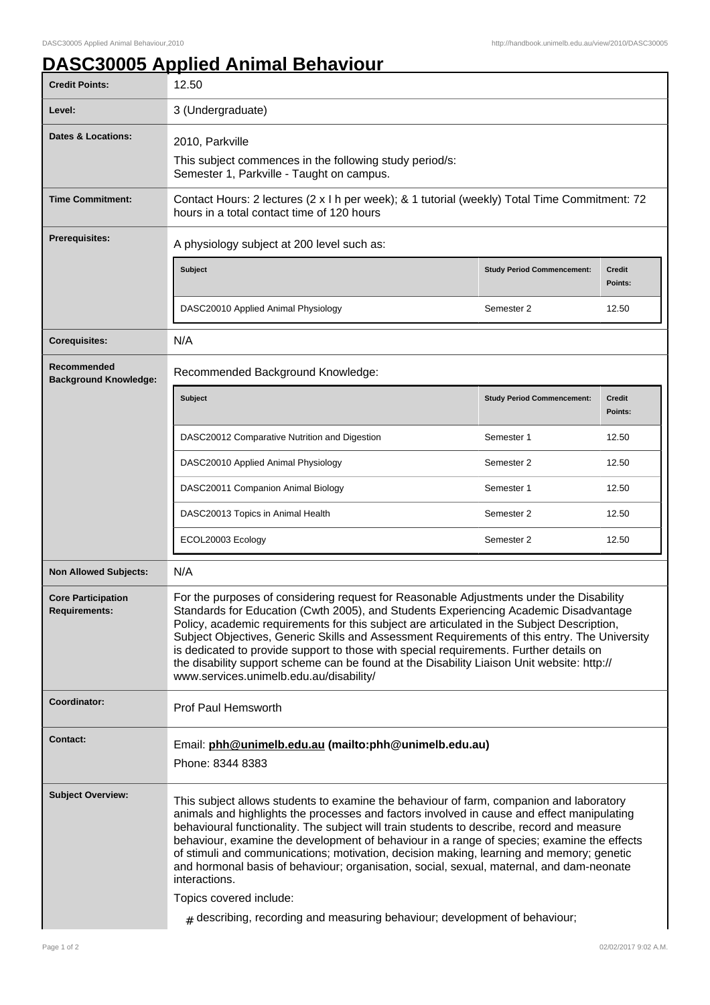## **DASC30005 Applied Animal Behaviour**

| <b>Credit Points:</b>                             | 12.50                                                                                                                                                                                                                                                                                                                                                                                                                                                                                                                                                                                                                                                                                                 |                                   |                          |  |
|---------------------------------------------------|-------------------------------------------------------------------------------------------------------------------------------------------------------------------------------------------------------------------------------------------------------------------------------------------------------------------------------------------------------------------------------------------------------------------------------------------------------------------------------------------------------------------------------------------------------------------------------------------------------------------------------------------------------------------------------------------------------|-----------------------------------|--------------------------|--|
| Level:                                            | 3 (Undergraduate)                                                                                                                                                                                                                                                                                                                                                                                                                                                                                                                                                                                                                                                                                     |                                   |                          |  |
| <b>Dates &amp; Locations:</b>                     | 2010, Parkville                                                                                                                                                                                                                                                                                                                                                                                                                                                                                                                                                                                                                                                                                       |                                   |                          |  |
|                                                   | This subject commences in the following study period/s:<br>Semester 1, Parkville - Taught on campus.                                                                                                                                                                                                                                                                                                                                                                                                                                                                                                                                                                                                  |                                   |                          |  |
| <b>Time Commitment:</b>                           | Contact Hours: 2 lectures (2 x l h per week); & 1 tutorial (weekly) Total Time Commitment: 72<br>hours in a total contact time of 120 hours                                                                                                                                                                                                                                                                                                                                                                                                                                                                                                                                                           |                                   |                          |  |
| <b>Prerequisites:</b>                             | A physiology subject at 200 level such as:                                                                                                                                                                                                                                                                                                                                                                                                                                                                                                                                                                                                                                                            |                                   |                          |  |
|                                                   | Subject                                                                                                                                                                                                                                                                                                                                                                                                                                                                                                                                                                                                                                                                                               | <b>Study Period Commencement:</b> | Credit<br>Points:        |  |
|                                                   | DASC20010 Applied Animal Physiology                                                                                                                                                                                                                                                                                                                                                                                                                                                                                                                                                                                                                                                                   | Semester 2                        | 12.50                    |  |
| <b>Corequisites:</b>                              | N/A                                                                                                                                                                                                                                                                                                                                                                                                                                                                                                                                                                                                                                                                                                   |                                   |                          |  |
| Recommended<br><b>Background Knowledge:</b>       | Recommended Background Knowledge:                                                                                                                                                                                                                                                                                                                                                                                                                                                                                                                                                                                                                                                                     |                                   |                          |  |
|                                                   | Subject                                                                                                                                                                                                                                                                                                                                                                                                                                                                                                                                                                                                                                                                                               | <b>Study Period Commencement:</b> | <b>Credit</b><br>Points: |  |
|                                                   | DASC20012 Comparative Nutrition and Digestion                                                                                                                                                                                                                                                                                                                                                                                                                                                                                                                                                                                                                                                         | Semester 1                        | 12.50                    |  |
|                                                   | DASC20010 Applied Animal Physiology                                                                                                                                                                                                                                                                                                                                                                                                                                                                                                                                                                                                                                                                   | Semester 2                        | 12.50                    |  |
|                                                   | DASC20011 Companion Animal Biology                                                                                                                                                                                                                                                                                                                                                                                                                                                                                                                                                                                                                                                                    | Semester 1                        | 12.50                    |  |
|                                                   | DASC20013 Topics in Animal Health                                                                                                                                                                                                                                                                                                                                                                                                                                                                                                                                                                                                                                                                     | Semester 2                        | 12.50                    |  |
|                                                   | ECOL20003 Ecology                                                                                                                                                                                                                                                                                                                                                                                                                                                                                                                                                                                                                                                                                     | Semester 2                        | 12.50                    |  |
| <b>Non Allowed Subjects:</b>                      | N/A                                                                                                                                                                                                                                                                                                                                                                                                                                                                                                                                                                                                                                                                                                   |                                   |                          |  |
| <b>Core Participation</b><br><b>Requirements:</b> | For the purposes of considering request for Reasonable Adjustments under the Disability<br>Standards for Education (Cwth 2005), and Students Experiencing Academic Disadvantage<br>Policy, academic requirements for this subject are articulated in the Subject Description,<br>Subject Objectives, Generic Skills and Assessment Requirements of this entry. The University<br>is dedicated to provide support to those with special requirements. Further details on<br>the disability support scheme can be found at the Disability Liaison Unit website: http://<br>www.services.unimelb.edu.au/disability/                                                                                      |                                   |                          |  |
| Coordinator:                                      | Prof Paul Hemsworth                                                                                                                                                                                                                                                                                                                                                                                                                                                                                                                                                                                                                                                                                   |                                   |                          |  |
| Contact:                                          | Email: phh@unimelb.edu.au (mailto:phh@unimelb.edu.au)<br>Phone: 8344 8383                                                                                                                                                                                                                                                                                                                                                                                                                                                                                                                                                                                                                             |                                   |                          |  |
| <b>Subject Overview:</b>                          | This subject allows students to examine the behaviour of farm, companion and laboratory<br>animals and highlights the processes and factors involved in cause and effect manipulating<br>behavioural functionality. The subject will train students to describe, record and measure<br>behaviour, examine the development of behaviour in a range of species; examine the effects<br>of stimuli and communications; motivation, decision making, learning and memory; genetic<br>and hormonal basis of behaviour; organisation, social, sexual, maternal, and dam-neonate<br>interactions.<br>Topics covered include:<br>$#$ describing, recording and measuring behaviour; development of behaviour; |                                   |                          |  |